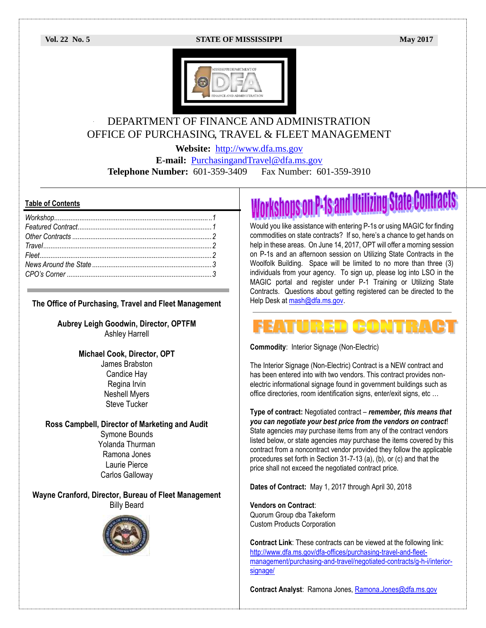

## DEPARTMENT OF FINANCE AND ADMINISTRATION OFFICE OF PURCHASING, TRAVEL & FLEET MANAGEMENT

**Website:** [http://www.dfa.ms.gov](http://www.dfa.ms.gov/)

**E-mail:** [PurchasingandTravel@dfa.ms.gov](mailto:PurchasingandTravel@dfa.ms.gov)

**Telephone Number:** 601-359-3409 Fax Number: 601-359-3910

#### **Table of Contents**

| True |  |
|------|--|
|      |  |
|      |  |
|      |  |
|      |  |

#### **The Office of Purchasing, Travel and Fleet Management**

**Aubrey Leigh Goodwin, Director, OPTFM** Ashley Harrell

#### **Michael Cook, Director, OPT**

James Brabston Candice Hay Regina Irvin Neshell Myers Steve Tucker

**Ross Campbell, Director of Marketing and Audit** Symone Bounds Yolanda Thurman Ramona Jones

> Laurie Pierce Carlos Galloway

**Wayne Cranford, Director, Bureau of Fleet Management** Billy Beard



# rkshops on P-1s and Utilizing State Contracts

Would you like assistance with entering P-1s or using MAGIC for finding commodities on state contracts? If so, here's a chance to get hands on help in these areas. On June 14, 2017, OPT will offer a morning session on P-1s and an afternoon session on Utilizing State Contracts in the Woolfolk Building. Space will be limited to no more than three (3) individuals from your agency. To sign up, please log into LSO in the MAGIC portal and register under P-1 Training or Utilizing State Contracts. Questions about getting registered can be directed to the Help Desk at [mash@dfa.ms.gov.](mailto:mash@dfa.ms.gov)

#### **CONTRA** RED

**Commodity**: Interior Signage (Non-Electric)

The Interior Signage (Non-Electric) Contract is a NEW contract and has been entered into with two vendors. This contract provides nonelectric informational signage found in government buildings such as office directories, room identification signs, enter/exit signs, etc …

**Type of contract:** Negotiated contract – *remember, this means that you can negotiate your best price from the vendors on contract*! State agencies *may* purchase items from any of the contract vendors listed below, or state agencies *may* purchase the items covered by this contract from a noncontract vendor provided they follow the applicable procedures set forth in Section 31-7-13 (a), (b), or (c) and that the price shall not exceed the negotiated contract price.

**Dates of Contract:** May 1, 2017 through April 30, 2018

**Vendors on Contract**: Quorum Group dba Takeform Custom Products Corporation

**Contract Link**: These contracts can be viewed at the following link: [http://www.dfa.ms.gov/dfa-offices/purchasing-travel-and-fleet](http://www.dfa.ms.gov/dfa-offices/purchasing-travel-and-fleet-management/purchasing-and-travel/negotiated-contracts/g-h-i/interior-signage/)[management/purchasing-and-travel/negotiated-contracts/g-h-i/interior](http://www.dfa.ms.gov/dfa-offices/purchasing-travel-and-fleet-management/purchasing-and-travel/negotiated-contracts/g-h-i/interior-signage/)[signage/](http://www.dfa.ms.gov/dfa-offices/purchasing-travel-and-fleet-management/purchasing-and-travel/negotiated-contracts/g-h-i/interior-signage/)

Contract Analyst: Ramona Jones, [Ramona.Jones@dfa.ms.gov](mailto:Ramona.Jones@dfa.ms.gov)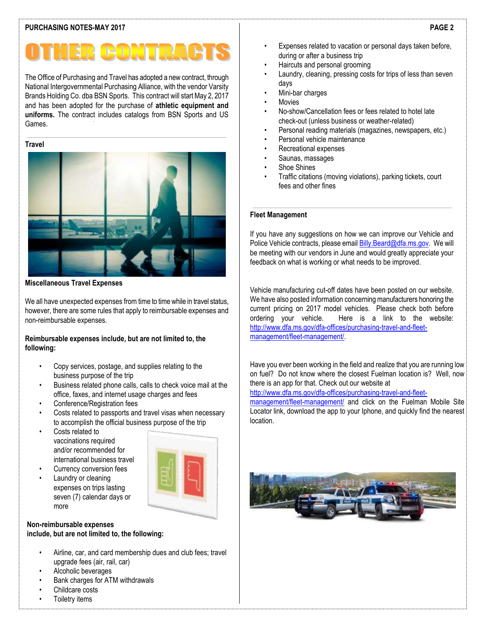#### **PURCHASING NOTES-MAY 2017**

# HER CONTRA

The Office of Purchasing and Travel has adopted a new contract, through National Intergovernmental Purchasing Alliance, with the vendor Varsity Brands Holding Co. dba BSN Sports. This contract will start May 2, 2017 and has been adopted for the purchase of **athletic equipment and uniforms.** The contract includes catalogs from BSN Sports and US Games.

#### **Travel**



**Miscellaneous Travel Expenses** 

We all have unexpected expenses from time to time while in travel status, however, there are some rules that apply to reimbursable expenses and non-reimbursable expenses.

#### **Reimbursable expenses include, but are not limited to, the following:**

- Copy services, postage, and supplies relating to the business purpose of the trip
- Business related phone calls, calls to check voice mail at the office, faxes, and internet usage charges and fees
- Conference/Registration fees
- Costs related to passports and travel visas when necessary to accomplish the official business purpose of the trip
- Costs related to vaccinations required and/or recommended for international business travel



Currency conversion fees Laundry or cleaning expenses on trips lasting seven (7) calendar days or more

#### **Non-reimbursable expenses include, but are not limited to, the following:**

- Airline, car, and card membership dues and club fees; travel upgrade fees (air, rail, car)
- Alcoholic beverages
- Bank charges for ATM withdrawals
- Childcare costs
- Toiletry items
- Expenses related to vacation or personal days taken before, during or after a business trip
- Haircuts and personal grooming
- Laundry, cleaning, pressing costs for trips of less than seven days
- Mini-bar charges
- **Movies**
- No-show/Cancellation fees or fees related to hotel late check-out (unless business or weather-related)
- Personal reading materials (magazines, newspapers, etc.)
- Personal vehicle maintenance
- Recreational expenses
- Saunas, massages
- Shoe Shines
- Traffic citations (moving violations), parking tickets, court fees and other fines

#### **Fleet Management**

If you have any suggestions on how we can improve our Vehicle and Police Vehicle contracts, please email **Billy.Beard@dfa.ms.gov.** We will be meeting with our vendors in June and would greatly appreciate your feedback on what is working or what needs to be improved.

Vehicle manufacturing cut-off dates have been posted on our website. We have also posted information concerning manufacturers honoring the current pricing on 2017 model vehicles. Please check both before ordering your vehicle. Here is a link to the website: [http://www.dfa.ms.gov/dfa-offices/purchasing-travel-and-fleet](http://www.dfa.ms.gov/dfa-offices/purchasing-travel-and-fleet-management/fleet-management/)[management/fleet-management/.](http://www.dfa.ms.gov/dfa-offices/purchasing-travel-and-fleet-management/fleet-management/)

Have you ever been working in the field and realize that you are running low on fuel? Do not know where the closest Fuelman location is? Well, now there is an app for that. Check out our website at

[http://www.dfa.ms.gov/dfa-offices/purchasing-travel-and-fleet-](http://www.dfa.ms.gov/dfa-offices/purchasing-travel-and-fleet-management/fleet-management/)

[management/fleet-management/](http://www.dfa.ms.gov/dfa-offices/purchasing-travel-and-fleet-management/fleet-management/) and click on the Fuelman Mobile Site Locator link, download the app to your Iphone, and quickly find the nearest location.



#### **PAGE 2**